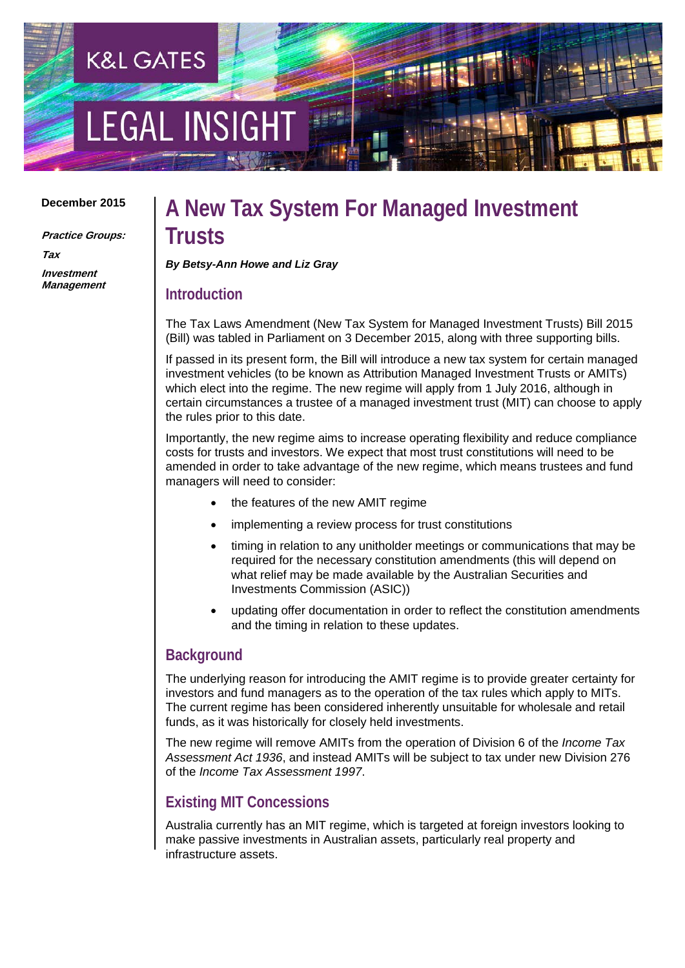# **EGAL INSIGH**

**K&L GATES** 

#### **December 2015**

**Practice Groups: Tax Investment Management**

### **A New Tax System For Managed Investment Trusts**

*By Betsy-Ann Howe and Liz Gray*

#### **Introduction**

The Tax Laws Amendment (New Tax System for Managed Investment Trusts) Bill 2015 (Bill) was tabled in Parliament on 3 December 2015, along with three supporting bills.

If passed in its present form, the Bill will introduce a new tax system for certain managed investment vehicles (to be known as Attribution Managed Investment Trusts or AMITs) which elect into the regime. The new regime will apply from 1 July 2016, although in certain circumstances a trustee of a managed investment trust (MIT) can choose to apply the rules prior to this date.

Importantly, the new regime aims to increase operating flexibility and reduce compliance costs for trusts and investors. We expect that most trust constitutions will need to be amended in order to take advantage of the new regime, which means trustees and fund managers will need to consider:

- the features of the new AMIT regime
- implementing a review process for trust constitutions
- timing in relation to any unitholder meetings or communications that may be required for the necessary constitution amendments (this will depend on what relief may be made available by the Australian Securities and Investments Commission (ASIC))
- updating offer documentation in order to reflect the constitution amendments and the timing in relation to these updates.

#### **Background**

The underlying reason for introducing the AMIT regime is to provide greater certainty for investors and fund managers as to the operation of the tax rules which apply to MITs. The current regime has been considered inherently unsuitable for wholesale and retail funds, as it was historically for closely held investments.

The new regime will remove AMITs from the operation of Division 6 of the *Income Tax Assessment Act 1936*, and instead AMITs will be subject to tax under new Division 276 of the *Income Tax Assessment 1997*.

#### **Existing MIT Concessions**

Australia currently has an MIT regime, which is targeted at foreign investors looking to make passive investments in Australian assets, particularly real property and infrastructure assets.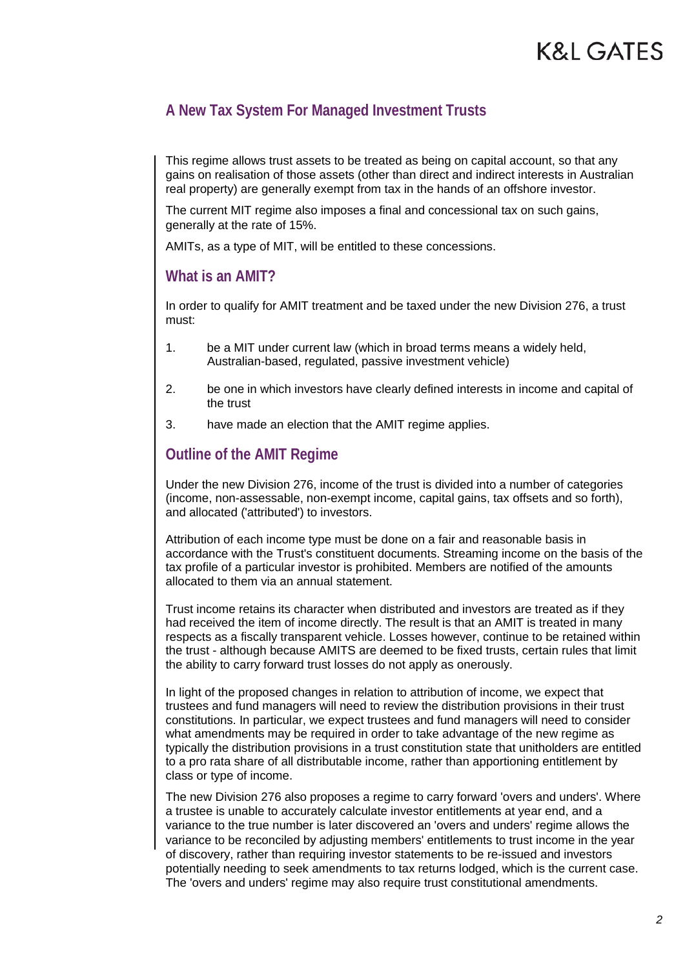#### **A New Tax System For Managed Investment Trusts**

This regime allows trust assets to be treated as being on capital account, so that any gains on realisation of those assets (other than direct and indirect interests in Australian real property) are generally exempt from tax in the hands of an offshore investor.

The current MIT regime also imposes a final and concessional tax on such gains, generally at the rate of 15%.

AMITs, as a type of MIT, will be entitled to these concessions.

#### **What is an AMIT?**

In order to qualify for AMIT treatment and be taxed under the new Division 276, a trust must:

- 1. be a MIT under current law (which in broad terms means a widely held, Australian-based, regulated, passive investment vehicle)
- 2. be one in which investors have clearly defined interests in income and capital of the trust
- 3. have made an election that the AMIT regime applies.

#### **Outline of the AMIT Regime**

Under the new Division 276, income of the trust is divided into a number of categories (income, non-assessable, non-exempt income, capital gains, tax offsets and so forth), and allocated ('attributed') to investors.

Attribution of each income type must be done on a fair and reasonable basis in accordance with the Trust's constituent documents. Streaming income on the basis of the tax profile of a particular investor is prohibited. Members are notified of the amounts allocated to them via an annual statement.

Trust income retains its character when distributed and investors are treated as if they had received the item of income directly. The result is that an AMIT is treated in many respects as a fiscally transparent vehicle. Losses however, continue to be retained within the trust - although because AMITS are deemed to be fixed trusts, certain rules that limit the ability to carry forward trust losses do not apply as onerously.

In light of the proposed changes in relation to attribution of income, we expect that trustees and fund managers will need to review the distribution provisions in their trust constitutions. In particular, we expect trustees and fund managers will need to consider what amendments may be required in order to take advantage of the new regime as typically the distribution provisions in a trust constitution state that unitholders are entitled to a pro rata share of all distributable income, rather than apportioning entitlement by class or type of income.

The new Division 276 also proposes a regime to carry forward 'overs and unders'. Where a trustee is unable to accurately calculate investor entitlements at year end, and a variance to the true number is later discovered an 'overs and unders' regime allows the variance to be reconciled by adjusting members' entitlements to trust income in the year of discovery, rather than requiring investor statements to be re-issued and investors potentially needing to seek amendments to tax returns lodged, which is the current case. The 'overs and unders' regime may also require trust constitutional amendments.